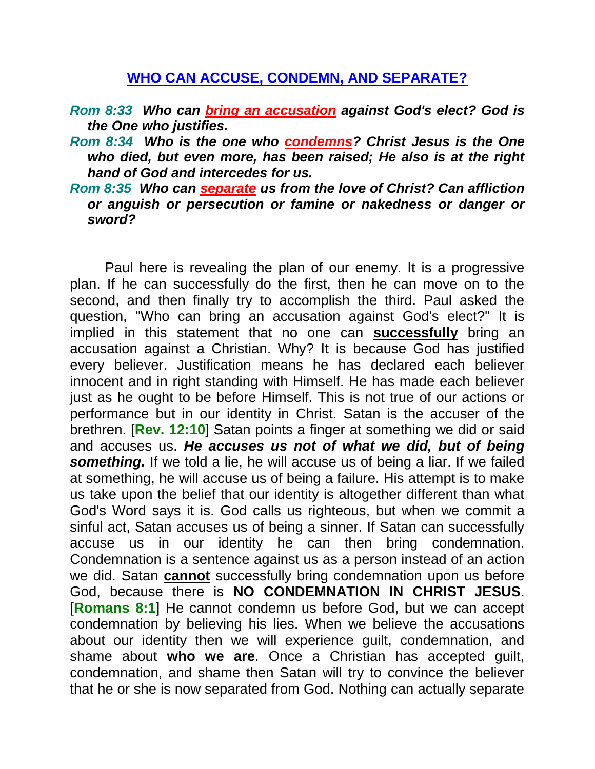## **WHO CAN ACCUSE, CONDEMN, AND SEPARATE?**

- *Rom 8:33 Who can bring an accusation against God's elect? God is the One who justifies.*
- *Rom 8:34 Who is the one who condemns? Christ Jesus is the One who died, but even more, has been raised; He also is at the right hand of God and intercedes for us.*
- *Rom 8:35 Who can separate us from the love of Christ? Can affliction or anguish or persecution or famine or nakedness or danger or sword?*

Paul here is revealing the plan of our enemy. It is a progressive plan. If he can successfully do the first, then he can move on to the second, and then finally try to accomplish the third. Paul asked the question, "Who can bring an accusation against God's elect?" It is implied in this statement that no one can **successfully** bring an accusation against a Christian. Why? It is because God has justified every believer. Justification means he has declared each believer innocent and in right standing with Himself. He has made each believer just as he ought to be before Himself. This is not true of our actions or performance but in our identity in Christ. Satan is the accuser of the brethren. [**Rev. 12:10**] Satan points a finger at something we did or said and accuses us. *He accuses us not of what we did, but of being something.* If we told a lie, he will accuse us of being a liar. If we failed at something, he will accuse us of being a failure. His attempt is to make us take upon the belief that our identity is altogether different than what God's Word says it is. God calls us righteous, but when we commit a sinful act, Satan accuses us of being a sinner. If Satan can successfully accuse us in our identity he can then bring condemnation. Condemnation is a sentence against us as a person instead of an action we did. Satan **cannot** successfully bring condemnation upon us before God, because there is **NO CONDEMNATION IN CHRIST JESUS**. [**Romans 8:1**] He cannot condemn us before God, but we can accept condemnation by believing his lies. When we believe the accusations about our identity then we will experience guilt, condemnation, and shame about **who we are**. Once a Christian has accepted guilt, condemnation, and shame then Satan will try to convince the believer that he or she is now separated from God. Nothing can actually separate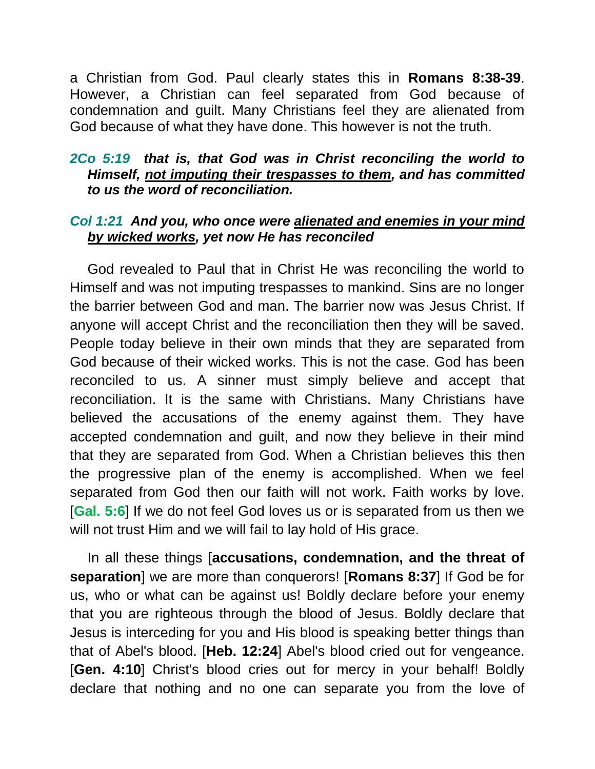a Christian from God. Paul clearly states this in **Romans 8:38-39**. However, a Christian can feel separated from God because of condemnation and guilt. Many Christians feel they are alienated from God because of what they have done. This however is not the truth.

## *2Co 5:19 that is, that God was in Christ reconciling the world to Himself, not imputing their trespasses to them, and has committed to us the word of reconciliation.*

## *Col 1:21 And you, who once were alienated and enemies in your mind by wicked works, yet now He has reconciled*

God revealed to Paul that in Christ He was reconciling the world to Himself and was not imputing trespasses to mankind. Sins are no longer the barrier between God and man. The barrier now was Jesus Christ. If anyone will accept Christ and the reconciliation then they will be saved. People today believe in their own minds that they are separated from God because of their wicked works. This is not the case. God has been reconciled to us. A sinner must simply believe and accept that reconciliation. It is the same with Christians. Many Christians have believed the accusations of the enemy against them. They have accepted condemnation and guilt, and now they believe in their mind that they are separated from God. When a Christian believes this then the progressive plan of the enemy is accomplished. When we feel separated from God then our faith will not work. Faith works by love. [**Gal. 5:6**] If we do not feel God loves us or is separated from us then we will not trust Him and we will fail to lay hold of His grace.

In all these things [**accusations, condemnation, and the threat of separation**] we are more than conquerors! [**Romans 8:37**] If God be for us, who or what can be against us! Boldly declare before your enemy that you are righteous through the blood of Jesus. Boldly declare that Jesus is interceding for you and His blood is speaking better things than that of Abel's blood. [**Heb. 12:24**] Abel's blood cried out for vengeance. [**Gen. 4:10**] Christ's blood cries out for mercy in your behalf! Boldly declare that nothing and no one can separate you from the love of